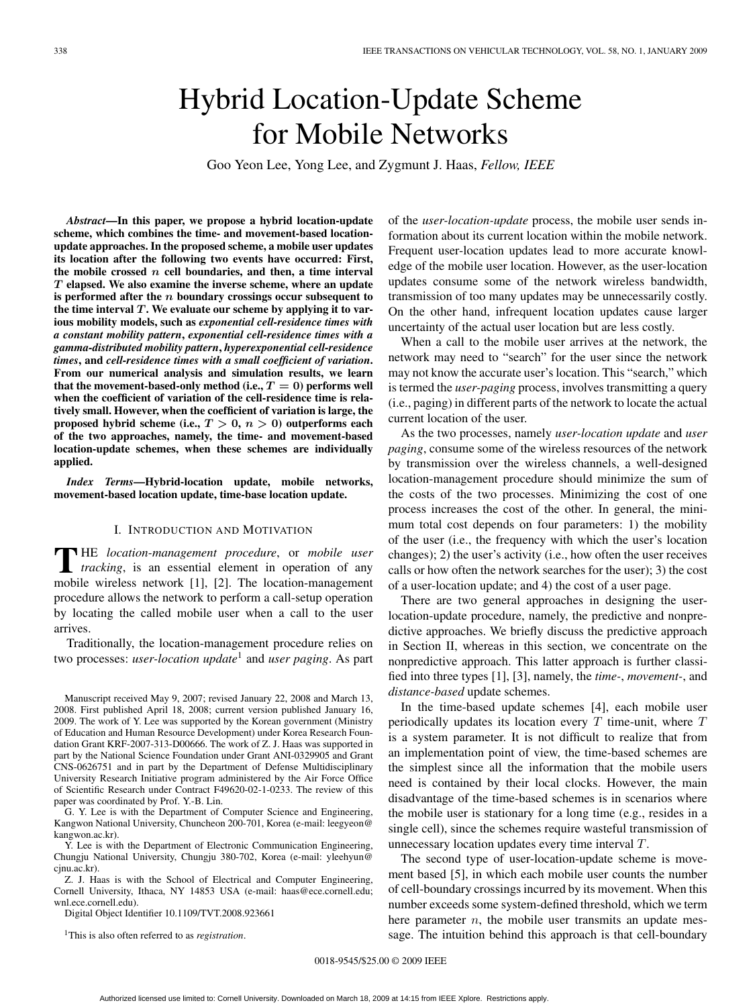# Hybrid Location-Update Scheme for Mobile Networks

Goo Yeon Lee, Yong Lee, and Zygmunt J. Haas, *Fellow, IEEE*

*Abstract***—In this paper, we propose a hybrid location-update scheme, which combines the time- and movement-based locationupdate approaches. In the proposed scheme, a mobile user updates its location after the following two events have occurred: First, the mobile crossed** *n* **cell boundaries, and then, a time interval** *T* **elapsed. We also examine the inverse scheme, where an update is performed after the** *n* **boundary crossings occur subsequent to the time interval** *T* **. We evaluate our scheme by applying it to various mobility models, such as** *exponential cell-residence times with a constant mobility pattern***,** *exponential cell-residence times with a gamma-distributed mobility pattern***,** *hyperexponential cell-residence times***, and** *cell-residence times with a small coefficient of variation***. From our numerical analysis and simulation results, we learn** that the movement-based-only method (i.e.,  $T = 0$ ) performs well **when the coefficient of variation of the cell-residence time is relatively small. However, when the coefficient of variation is large, the proposed hybrid scheme (i.e.,** *T >* **0,** *n >* **0) outperforms each of the two approaches, namely, the time- and movement-based location-update schemes, when these schemes are individually applied.**

*Index Terms***—Hybrid-location update, mobile networks, movement-based location update, time-base location update.**

### I. INTRODUCTION AND MOTIVATION

**T** HE *location-management procedure*, or *mobile user tracking*, is an essential element in operation of any mobile wireless network [1], [2]. The location-management procedure allows the network to perform a call-setup operation by locating the called mobile user when a call to the user arrives.

Traditionally, the location-management procedure relies on two processes: *user-location update*<sup>1</sup> and *user paging*. As part

Manuscript received May 9, 2007; revised January 22, 2008 and March 13, 2008. First published April 18, 2008; current version published January 16, 2009. The work of Y. Lee was supported by the Korean government (Ministry of Education and Human Resource Development) under Korea Research Foundation Grant KRF-2007-313-D00666. The work of Z. J. Haas was supported in part by the National Science Foundation under Grant ANI-0329905 and Grant CNS-0626751 and in part by the Department of Defense Multidisciplinary University Research Initiative program administered by the Air Force Office of Scientific Research under Contract F49620-02-1-0233. The review of this paper was coordinated by Prof. Y.-B. Lin.

G. Y. Lee is with the Department of Computer Science and Engineering, Kangwon National University, Chuncheon 200-701, Korea (e-mail: leegyeon@ kangwon.ac.kr).

Y. Lee is with the Department of Electronic Communication Engineering, Chungju National University, Chungju 380-702, Korea (e-mail: yleehyun@ cjnu.ac.kr).

Z. J. Haas is with the School of Electrical and Computer Engineering, Cornell University, Ithaca, NY 14853 USA (e-mail: haas@ece.cornell.edu; wnl.ece.cornell.edu).

Digital Object Identifier 10.1109/TVT.2008.923661

1This is also often referred to as *registration*.

of the *user-location-update* process, the mobile user sends information about its current location within the mobile network. Frequent user-location updates lead to more accurate knowledge of the mobile user location. However, as the user-location updates consume some of the network wireless bandwidth, transmission of too many updates may be unnecessarily costly. On the other hand, infrequent location updates cause larger uncertainty of the actual user location but are less costly.

When a call to the mobile user arrives at the network, the network may need to "search" for the user since the network may not know the accurate user's location. This "search," which is termed the *user-paging* process, involves transmitting a query (i.e., paging) in different parts of the network to locate the actual current location of the user.

As the two processes, namely *user-location update* and *user paging*, consume some of the wireless resources of the network by transmission over the wireless channels, a well-designed location-management procedure should minimize the sum of the costs of the two processes. Minimizing the cost of one process increases the cost of the other. In general, the minimum total cost depends on four parameters: 1) the mobility of the user (i.e., the frequency with which the user's location changes); 2) the user's activity (i.e., how often the user receives calls or how often the network searches for the user); 3) the cost of a user-location update; and 4) the cost of a user page.

There are two general approaches in designing the userlocation-update procedure, namely, the predictive and nonpredictive approaches. We briefly discuss the predictive approach in Section II, whereas in this section, we concentrate on the nonpredictive approach. This latter approach is further classified into three types [1], [3], namely, the *time-*, *movement-*, and *distance-based* update schemes.

In the time-based update schemes [4], each mobile user periodically updates its location every  $T$  time-unit, where  $T$ is a system parameter. It is not difficult to realize that from an implementation point of view, the time-based schemes are the simplest since all the information that the mobile users need is contained by their local clocks. However, the main disadvantage of the time-based schemes is in scenarios where the mobile user is stationary for a long time (e.g., resides in a single cell), since the schemes require wasteful transmission of unnecessary location updates every time interval T.

The second type of user-location-update scheme is movement based [5], in which each mobile user counts the number of cell-boundary crossings incurred by its movement. When this number exceeds some system-defined threshold, which we term here parameter  $n$ , the mobile user transmits an update message. The intuition behind this approach is that cell-boundary

0018-9545/\$25.00 © 2009 IEEE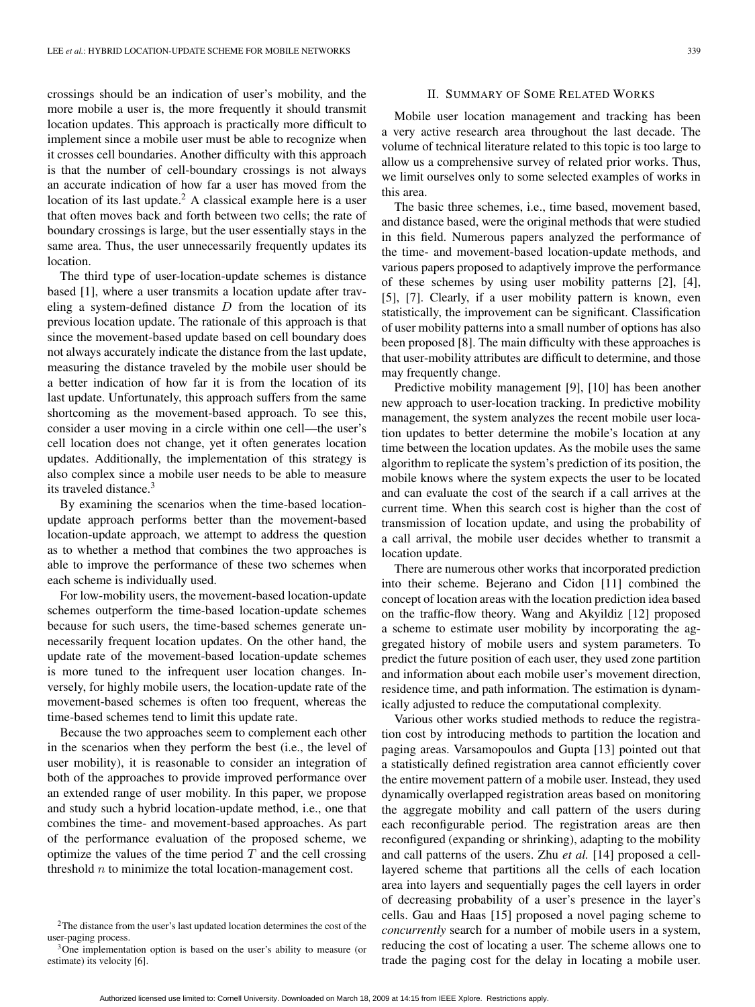crossings should be an indication of user's mobility, and the more mobile a user is, the more frequently it should transmit location updates. This approach is practically more difficult to implement since a mobile user must be able to recognize when it crosses cell boundaries. Another difficulty with this approach is that the number of cell-boundary crossings is not always an accurate indication of how far a user has moved from the location of its last update.<sup>2</sup> A classical example here is a user that often moves back and forth between two cells; the rate of boundary crossings is large, but the user essentially stays in the same area. Thus, the user unnecessarily frequently updates its location.

The third type of user-location-update schemes is distance based [1], where a user transmits a location update after traveling a system-defined distance  $D$  from the location of its previous location update. The rationale of this approach is that since the movement-based update based on cell boundary does not always accurately indicate the distance from the last update, measuring the distance traveled by the mobile user should be a better indication of how far it is from the location of its last update. Unfortunately, this approach suffers from the same shortcoming as the movement-based approach. To see this, consider a user moving in a circle within one cell—the user's cell location does not change, yet it often generates location updates. Additionally, the implementation of this strategy is also complex since a mobile user needs to be able to measure its traveled distance.<sup>3</sup>

By examining the scenarios when the time-based locationupdate approach performs better than the movement-based location-update approach, we attempt to address the question as to whether a method that combines the two approaches is able to improve the performance of these two schemes when each scheme is individually used.

For low-mobility users, the movement-based location-update schemes outperform the time-based location-update schemes because for such users, the time-based schemes generate unnecessarily frequent location updates. On the other hand, the update rate of the movement-based location-update schemes is more tuned to the infrequent user location changes. Inversely, for highly mobile users, the location-update rate of the movement-based schemes is often too frequent, whereas the time-based schemes tend to limit this update rate.

Because the two approaches seem to complement each other in the scenarios when they perform the best (i.e., the level of user mobility), it is reasonable to consider an integration of both of the approaches to provide improved performance over an extended range of user mobility. In this paper, we propose and study such a hybrid location-update method, i.e., one that combines the time- and movement-based approaches. As part of the performance evaluation of the proposed scheme, we optimize the values of the time period  $T$  and the cell crossing threshold n to minimize the total location-management cost.

## II. SUMMARY OF SOME RELATED WORKS

Mobile user location management and tracking has been a very active research area throughout the last decade. The volume of technical literature related to this topic is too large to allow us a comprehensive survey of related prior works. Thus, we limit ourselves only to some selected examples of works in this area.

The basic three schemes, i.e., time based, movement based, and distance based, were the original methods that were studied in this field. Numerous papers analyzed the performance of the time- and movement-based location-update methods, and various papers proposed to adaptively improve the performance of these schemes by using user mobility patterns [2], [4], [5], [7]. Clearly, if a user mobility pattern is known, even statistically, the improvement can be significant. Classification of user mobility patterns into a small number of options has also been proposed [8]. The main difficulty with these approaches is that user-mobility attributes are difficult to determine, and those may frequently change.

Predictive mobility management [9], [10] has been another new approach to user-location tracking. In predictive mobility management, the system analyzes the recent mobile user location updates to better determine the mobile's location at any time between the location updates. As the mobile uses the same algorithm to replicate the system's prediction of its position, the mobile knows where the system expects the user to be located and can evaluate the cost of the search if a call arrives at the current time. When this search cost is higher than the cost of transmission of location update, and using the probability of a call arrival, the mobile user decides whether to transmit a location update.

There are numerous other works that incorporated prediction into their scheme. Bejerano and Cidon [11] combined the concept of location areas with the location prediction idea based on the traffic-flow theory. Wang and Akyildiz [12] proposed a scheme to estimate user mobility by incorporating the aggregated history of mobile users and system parameters. To predict the future position of each user, they used zone partition and information about each mobile user's movement direction, residence time, and path information. The estimation is dynamically adjusted to reduce the computational complexity.

Various other works studied methods to reduce the registration cost by introducing methods to partition the location and paging areas. Varsamopoulos and Gupta [13] pointed out that a statistically defined registration area cannot efficiently cover the entire movement pattern of a mobile user. Instead, they used dynamically overlapped registration areas based on monitoring the aggregate mobility and call pattern of the users during each reconfigurable period. The registration areas are then reconfigured (expanding or shrinking), adapting to the mobility and call patterns of the users. Zhu *et al.* [14] proposed a celllayered scheme that partitions all the cells of each location area into layers and sequentially pages the cell layers in order of decreasing probability of a user's presence in the layer's cells. Gau and Haas [15] proposed a novel paging scheme to *concurrently* search for a number of mobile users in a system, reducing the cost of locating a user. The scheme allows one to trade the paging cost for the delay in locating a mobile user.

<sup>&</sup>lt;sup>2</sup>The distance from the user's last updated location determines the cost of the user-paging process.

<sup>&</sup>lt;sup>3</sup>One implementation option is based on the user's ability to measure (or estimate) its velocity [6].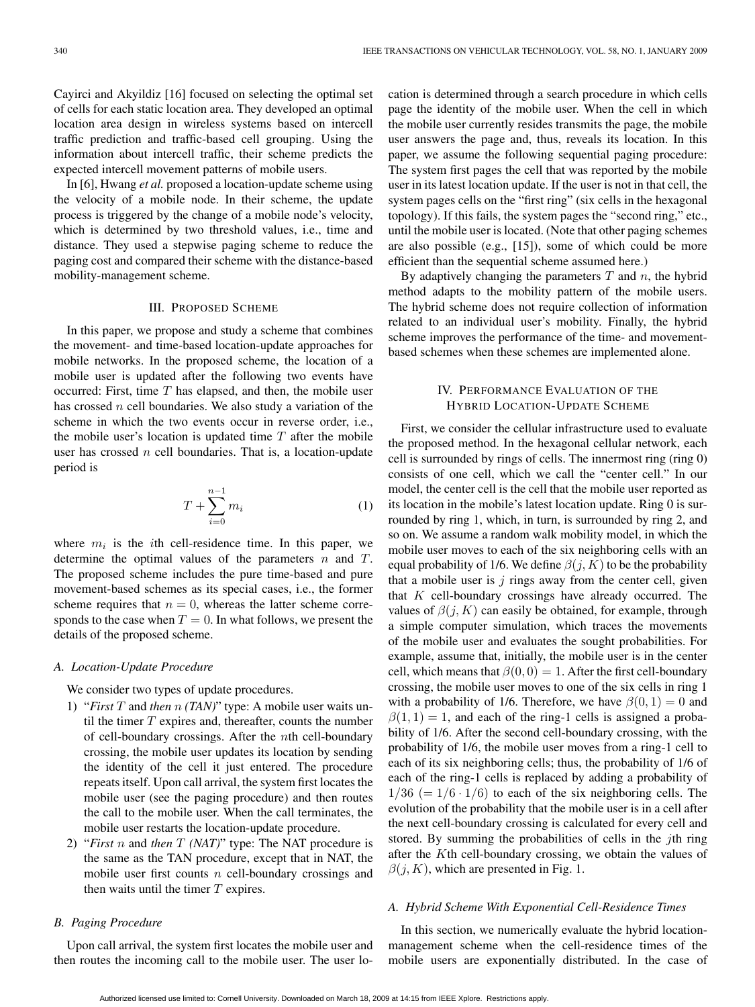Cayirci and Akyildiz [16] focused on selecting the optimal set of cells for each static location area. They developed an optimal location area design in wireless systems based on intercell traffic prediction and traffic-based cell grouping. Using the information about intercell traffic, their scheme predicts the expected intercell movement patterns of mobile users.

In [6], Hwang *et al.* proposed a location-update scheme using the velocity of a mobile node. In their scheme, the update process is triggered by the change of a mobile node's velocity, which is determined by two threshold values, i.e., time and distance. They used a stepwise paging scheme to reduce the paging cost and compared their scheme with the distance-based mobility-management scheme.

## III. PROPOSED SCHEME

In this paper, we propose and study a scheme that combines the movement- and time-based location-update approaches for mobile networks. In the proposed scheme, the location of a mobile user is updated after the following two events have occurred: First, time  $T$  has elapsed, and then, the mobile user has crossed n cell boundaries. We also study a variation of the scheme in which the two events occur in reverse order, i.e., the mobile user's location is updated time  $T$  after the mobile user has crossed  $n$  cell boundaries. That is, a location-update period is

$$
T + \sum_{i=0}^{n-1} m_i \tag{1}
$$

where  $m_i$  is the *i*th cell-residence time. In this paper, we determine the optimal values of the parameters  $n$  and  $T$ . The proposed scheme includes the pure time-based and pure movement-based schemes as its special cases, i.e., the former scheme requires that  $n = 0$ , whereas the latter scheme corresponds to the case when  $T = 0$ . In what follows, we present the details of the proposed scheme.

#### *A. Location-Update Procedure*

We consider two types of update procedures.

- 1) "*First* T and *then* n *(TAN)*" type: A mobile user waits until the timer  $T$  expires and, thereafter, counts the number of cell-boundary crossings. After the nth cell-boundary crossing, the mobile user updates its location by sending the identity of the cell it just entered. The procedure repeats itself. Upon call arrival, the system first locates the mobile user (see the paging procedure) and then routes the call to the mobile user. When the call terminates, the mobile user restarts the location-update procedure.
- 2) "*First* n and *then* T *(NAT)*" type: The NAT procedure is the same as the TAN procedure, except that in NAT, the mobile user first counts  $n$  cell-boundary crossings and then waits until the timer  $T$  expires.

## *B. Paging Procedure*

Upon call arrival, the system first locates the mobile user and then routes the incoming call to the mobile user. The user location is determined through a search procedure in which cells page the identity of the mobile user. When the cell in which the mobile user currently resides transmits the page, the mobile user answers the page and, thus, reveals its location. In this paper, we assume the following sequential paging procedure: The system first pages the cell that was reported by the mobile user in its latest location update. If the user is not in that cell, the system pages cells on the "first ring" (six cells in the hexagonal topology). If this fails, the system pages the "second ring," etc., until the mobile user is located. (Note that other paging schemes are also possible (e.g., [15]), some of which could be more efficient than the sequential scheme assumed here.)

By adaptively changing the parameters  $T$  and  $n$ , the hybrid method adapts to the mobility pattern of the mobile users. The hybrid scheme does not require collection of information related to an individual user's mobility. Finally, the hybrid scheme improves the performance of the time- and movementbased schemes when these schemes are implemented alone.

# IV. PERFORMANCE EVALUATION OF THE HYBRID LOCATION-UPDATE SCHEME

First, we consider the cellular infrastructure used to evaluate the proposed method. In the hexagonal cellular network, each cell is surrounded by rings of cells. The innermost ring (ring 0) consists of one cell, which we call the "center cell." In our model, the center cell is the cell that the mobile user reported as its location in the mobile's latest location update. Ring 0 is surrounded by ring 1, which, in turn, is surrounded by ring 2, and so on. We assume a random walk mobility model, in which the mobile user moves to each of the six neighboring cells with an equal probability of 1/6. We define  $\beta(j, K)$  to be the probability that a mobile user is  $j$  rings away from the center cell, given that  $K$  cell-boundary crossings have already occurred. The values of  $\beta(j, K)$  can easily be obtained, for example, through a simple computer simulation, which traces the movements of the mobile user and evaluates the sought probabilities. For example, assume that, initially, the mobile user is in the center cell, which means that  $\beta(0, 0) = 1$ . After the first cell-boundary crossing, the mobile user moves to one of the six cells in ring 1 with a probability of 1/6. Therefore, we have  $\beta(0,1) = 0$  and  $\beta(1, 1) = 1$ , and each of the ring-1 cells is assigned a probability of 1/6. After the second cell-boundary crossing, with the probability of 1/6, the mobile user moves from a ring-1 cell to each of its six neighboring cells; thus, the probability of 1/6 of each of the ring-1 cells is replaced by adding a probability of  $1/36 (= 1/6 \cdot 1/6)$  to each of the six neighboring cells. The evolution of the probability that the mobile user is in a cell after the next cell-boundary crossing is calculated for every cell and stored. By summing the probabilities of cells in the  $j$ th ring after the Kth cell-boundary crossing, we obtain the values of  $\beta(j, K)$ , which are presented in Fig. 1.

## *A. Hybrid Scheme With Exponential Cell-Residence Times*

In this section, we numerically evaluate the hybrid locationmanagement scheme when the cell-residence times of the mobile users are exponentially distributed. In the case of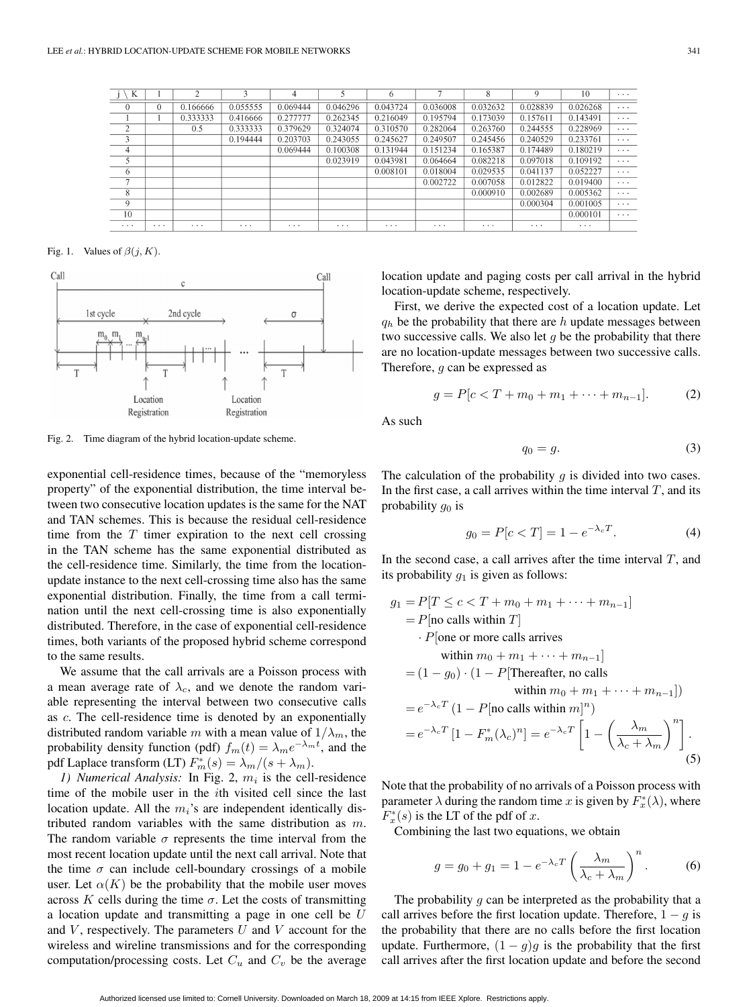| K              |          | 2        | 3        | 4        | 5        | 6        | п        | 8        | 9        | 10       | $\cdots$ |
|----------------|----------|----------|----------|----------|----------|----------|----------|----------|----------|----------|----------|
| $\theta$       | 0        | 0.166666 | 0.055555 | 0.069444 | 0.046296 | 0.043724 | 0.036008 | 0.032632 | 0.028839 | 0.026268 | $\cdots$ |
|                |          | 0.333333 | 0.416666 | 0.277777 | 0.262345 | 0.216049 | 0.195794 | 0.173039 | 0.157611 | 0.143491 | $\cdots$ |
| $\overline{c}$ |          | 0.5      | 0.333333 | 0.379629 | 0.324074 | 0.310570 | 0.282064 | 0.263760 | 0.244555 | 0.228969 | $\cdots$ |
| 3              |          |          | 0.194444 | 0.203703 | 0.243055 | 0.245627 | 0.249507 | 0.245456 | 0.240529 | 0.233761 | $\cdots$ |
| 4              |          |          |          | 0.069444 | 0.100308 | 0.131944 | 0.151234 | 0.165387 | 0.174489 | 0.180219 | $\cdots$ |
| 5              |          |          |          |          | 0.023919 | 0.043981 | 0.064664 | 0.082218 | 0.097018 | 0.109192 | $\cdots$ |
| 6              |          |          |          |          |          | 0.008101 | 0.018004 | 0.029535 | 0.041137 | 0.052227 | $\cdots$ |
| $\mathcal{I}$  |          |          |          |          |          |          | 0.002722 | 0.007058 | 0.012822 | 0.019400 | $\cdots$ |
| 8              |          |          |          |          |          |          |          | 0.000910 | 0.002689 | 0.005362 | $\cdots$ |
| 9              |          |          |          |          |          |          |          |          | 0.000304 | 0.001005 | $\cdots$ |
| 10             |          |          |          |          |          |          |          |          |          | 0.000101 | $\cdots$ |
| $\cdots$       | $\cdots$ | $\cdots$ | $\cdots$ | $\cdots$ | $\cdots$ | $\cdots$ | $\cdots$ | $\cdots$ | $\cdots$ | $\cdots$ |          |

Fig. 1. Values of  $\beta(j, K)$ .



Fig. 2. Time diagram of the hybrid location-update scheme.

exponential cell-residence times, because of the "memoryless property" of the exponential distribution, the time interval between two consecutive location updates is the same for the NAT and TAN schemes. This is because the residual cell-residence time from the  $T$  timer expiration to the next cell crossing in the TAN scheme has the same exponential distributed as the cell-residence time. Similarly, the time from the locationupdate instance to the next cell-crossing time also has the same exponential distribution. Finally, the time from a call termination until the next cell-crossing time is also exponentially distributed. Therefore, in the case of exponential cell-residence times, both variants of the proposed hybrid scheme correspond to the same results.

We assume that the call arrivals are a Poisson process with a mean average rate of  $\lambda_c$ , and we denote the random variable representing the interval between two consecutive calls as c. The cell-residence time is denoted by an exponentially distributed random variable m with a mean value of  $1/\lambda_m$ , the probability density function (pdf)  $f_m(t) = \lambda_m e^{-\lambda_m t}$ , and the pdf Laplace transform (LT)  $F_m^*(s) = \lambda_m/(s + \lambda_m)$ .

*1) Numerical Analysis:* In Fig. 2,  $m_i$  is the cell-residence time of the mobile user in the ith visited cell since the last location update. All the  $m_i$ 's are independent identically distributed random variables with the same distribution as m. The random variable  $\sigma$  represents the time interval from the most recent location update until the next call arrival. Note that the time  $\sigma$  can include cell-boundary crossings of a mobile user. Let  $\alpha(K)$  be the probability that the mobile user moves across K cells during the time  $\sigma$ . Let the costs of transmitting a location update and transmitting a page in one cell be  $U$ and  $V$ , respectively. The parameters  $U$  and  $V$  account for the wireless and wireline transmissions and for the corresponding computation/processing costs. Let  $C_u$  and  $C_v$  be the average

location update and paging costs per call arrival in the hybrid location-update scheme, respectively.

First, we derive the expected cost of a location update. Let  $q_h$  be the probability that there are h update messages between two successive calls. We also let  $q$  be the probability that there are no location-update messages between two successive calls. Therefore, g can be expressed as

$$
g = P[c < T + m_0 + m_1 + \dots + m_{n-1}].\tag{2}
$$

As such

$$
q_0 = g. \tag{3}
$$

The calculation of the probability  $g$  is divided into two cases. In the first case, a call arrives within the time interval  $T$ , and its probability  $g_0$  is

$$
g_0 = P[c < T] = 1 - e^{-\lambda_c T}.
$$
 (4)

In the second case, a call arrives after the time interval  $T$ , and its probability  $q_1$  is given as follows:

$$
g_1 = P[T \le c < T + m_0 + m_1 + \dots + m_{n-1}]
$$
  
=  $P[\text{no calls within } T]$   
.  $P[\text{one or more calls arrives}$   
within  $m_0 + m_1 + \dots + m_{n-1}]$   
=  $(1 - g_0) \cdot (1 - P[\text{Therefore, no calls within } m_0 + m_1 + \dots + m_{n-1}])$   
=  $e^{-\lambda_c T} (1 - P[\text{no calls within } m]^n)$   
=  $e^{-\lambda_c T} [1 - F_m^*(\lambda_c)^n] = e^{-\lambda_c T} \left[ 1 - \left( \frac{\lambda_m}{\lambda_c + \lambda_m} \right)^n \right].$  (5)

Note that the probability of no arrivals of a Poisson process with parameter  $\lambda$  during the random time x is given by  $F_x^*(\lambda)$ , where  $F_x^*(s)$  is the LT of the pdf of x.

Combining the last two equations, we obtain

$$
g = g_0 + g_1 = 1 - e^{-\lambda_c T} \left(\frac{\lambda_m}{\lambda_c + \lambda_m}\right)^n.
$$
 (6)

The probability  $g$  can be interpreted as the probability that a call arrives before the first location update. Therefore,  $1 - g$  is the probability that there are no calls before the first location update. Furthermore,  $(1 - q)q$  is the probability that the first call arrives after the first location update and before the second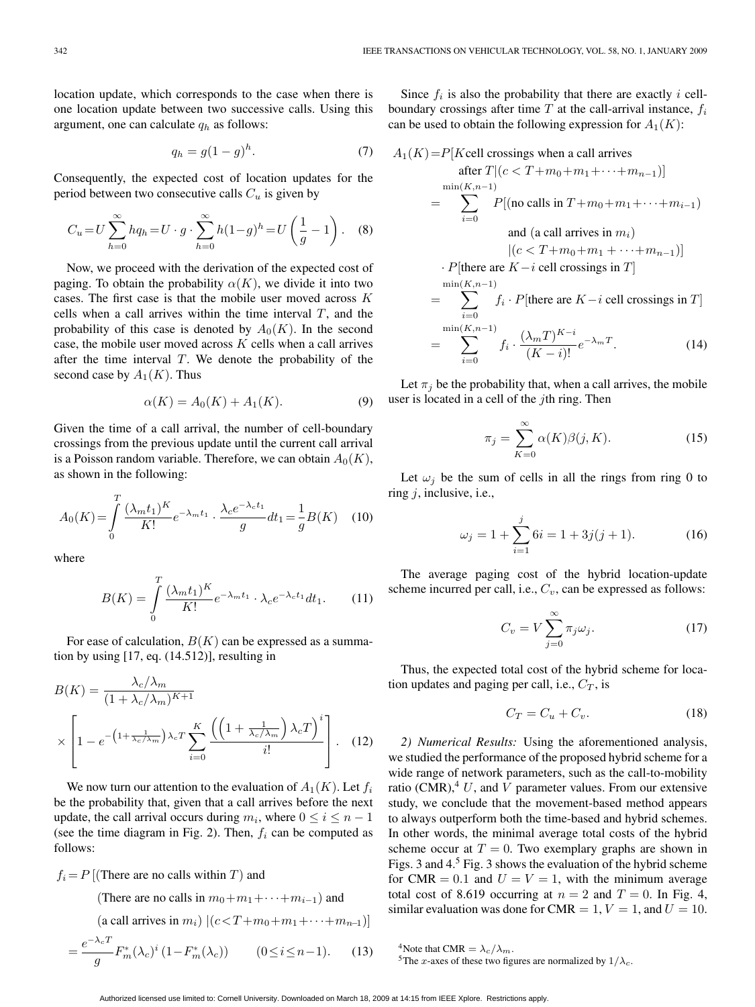location update, which corresponds to the case when there is one location update between two successive calls. Using this argument, one can calculate  $q_h$  as follows:

$$
q_h = g(1 - g)^h. \tag{7}
$$

Consequently, the expected cost of location updates for the period between two consecutive calls  $C_u$  is given by

$$
C_u = U \sum_{h=0}^{\infty} h q_h = U \cdot g \cdot \sum_{h=0}^{\infty} h (1 - g)^h = U \left( \frac{1}{g} - 1 \right). \tag{8}
$$

Now, we proceed with the derivation of the expected cost of paging. To obtain the probability  $\alpha(K)$ , we divide it into two cases. The first case is that the mobile user moved across K cells when a call arrives within the time interval  $T$ , and the probability of this case is denoted by  $A_0(K)$ . In the second case, the mobile user moved across  $K$  cells when a call arrives after the time interval  $T$ . We denote the probability of the second case by  $A_1(K)$ . Thus

$$
\alpha(K) = A_0(K) + A_1(K). \tag{9}
$$

Given the time of a call arrival, the number of cell-boundary crossings from the previous update until the current call arrival is a Poisson random variable. Therefore, we can obtain  $A_0(K)$ , as shown in the following:

$$
A_0(K) = \int_0^T \frac{(\lambda_m t_1)^K}{K!} e^{-\lambda_m t_1} \cdot \frac{\lambda_c e^{-\lambda_c t_1}}{g} dt_1 = \frac{1}{g} B(K) \quad (10)
$$

where

$$
B(K) = \int_{0}^{T} \frac{(\lambda_m t_1)^K}{K!} e^{-\lambda_m t_1} \cdot \lambda_c e^{-\lambda_c t_1} dt_1.
$$
 (11)

For ease of calculation,  $B(K)$  can be expressed as a summation by using [17, eq. (14.512)], resulting in

$$
B(K) = \frac{\lambda_c/\lambda_m}{(1 + \lambda_c/\lambda_m)^{K+1}}
$$

$$
\times \left[1 - e^{-\left(1 + \frac{1}{\lambda_c/\lambda_m}\right)\lambda_c T} \sum_{i=0}^K \frac{\left(\left(1 + \frac{1}{\lambda_c/\lambda_m}\right)\lambda_c T\right)^i}{i!}\right].
$$
 (12)

We now turn our attention to the evaluation of  $A_1(K)$ . Let  $f_i$ be the probability that, given that a call arrives before the next update, the call arrival occurs during  $m_i$ , where  $0 \le i \le n-1$ (see the time diagram in Fig. 2). Then,  $f_i$  can be computed as follows:

 $f_i = P$  [(There are no calls within T) and

(There are no calls in  $m_0+m_1+\cdots+m_{i-1}$ ) and

(a call arrives in 
$$
m_i
$$
)  $|(c < T + m_0 + m_1 + \cdots + m_{n-1})|$ 

$$
=\frac{e^{-\lambda_c T}}{g} F_m^*(\lambda_c)^i \left(1 - F_m^*(\lambda_c)\right) \qquad (0 \le i \le n-1). \qquad (13)
$$

Since  $f_i$  is also the probability that there are exactly i cellboundary crossings after time  $T$  at the call-arrival instance,  $f_i$ can be used to obtain the following expression for  $A_1(K)$ :

$$
A_1(K) = P[Kcell \text{ crossings when a call arrives} \quad \text{after } T | (c < T + m_0 + m_1 + \cdots + m_{n-1})]
$$
\n
$$
= \sum_{i=0}^{\min(K, n-1)} P[(\text{no calls in } T + m_0 + m_1 + \cdots + m_{i-1})
$$
\n
$$
= \sum_{i=0}^{\min(K, n-1)} P[(\text{no calls in } T + m_0 + m_1 + \cdots + m_{n-1})]
$$
\n
$$
= \sum_{i=0}^{\min(K, n-1)} f_i \cdot P[\text{there are } K - i \text{ cell crossings in } T]
$$
\n
$$
= \sum_{i=0}^{\min(K, n-1)} f_i \cdot \frac{(\lambda_m T)^{K-i}}{(K-i)!} e^{-\lambda_m T}. \tag{14}
$$

Let  $\pi_j$  be the probability that, when a call arrives, the mobile user is located in a cell of the  $j$ th ring. Then

$$
\pi_j = \sum_{K=0}^{\infty} \alpha(K)\beta(j,K). \tag{15}
$$

Let  $\omega_i$  be the sum of cells in all the rings from ring 0 to ring  $i$ , inclusive, i.e.,

$$
\omega_j = 1 + \sum_{i=1}^j 6i = 1 + 3j(j+1). \tag{16}
$$

The average paging cost of the hybrid location-update scheme incurred per call, i.e.,  $C_v$ , can be expressed as follows:

$$
C_v = V \sum_{j=0}^{\infty} \pi_j \omega_j.
$$
 (17)

Thus, the expected total cost of the hybrid scheme for location updates and paging per call, i.e.,  $C_T$ , is

$$
C_T = C_u + C_v. \tag{18}
$$

*2) Numerical Results:* Using the aforementioned analysis, we studied the performance of the proposed hybrid scheme for a wide range of network parameters, such as the call-to-mobility ratio (CMR),  $4$  U, and V parameter values. From our extensive study, we conclude that the movement-based method appears to always outperform both the time-based and hybrid schemes. In other words, the minimal average total costs of the hybrid scheme occur at  $T = 0$ . Two exemplary graphs are shown in Figs. 3 and 4.<sup>5</sup> Fig. 3 shows the evaluation of the hybrid scheme for CMR = 0.1 and  $U = V = 1$ , with the minimum average total cost of 8.619 occurring at  $n = 2$  and  $T = 0$ . In Fig. 4, similar evaluation was done for CMR = 1,  $V = 1$ , and  $U = 10$ .

<sup>&</sup>lt;sup>4</sup>Note that CMR =  $\lambda_c/\lambda_m$ .<br><sup>5</sup>The *x*-axes of these two figures are normalized by  $1/\lambda_c$ .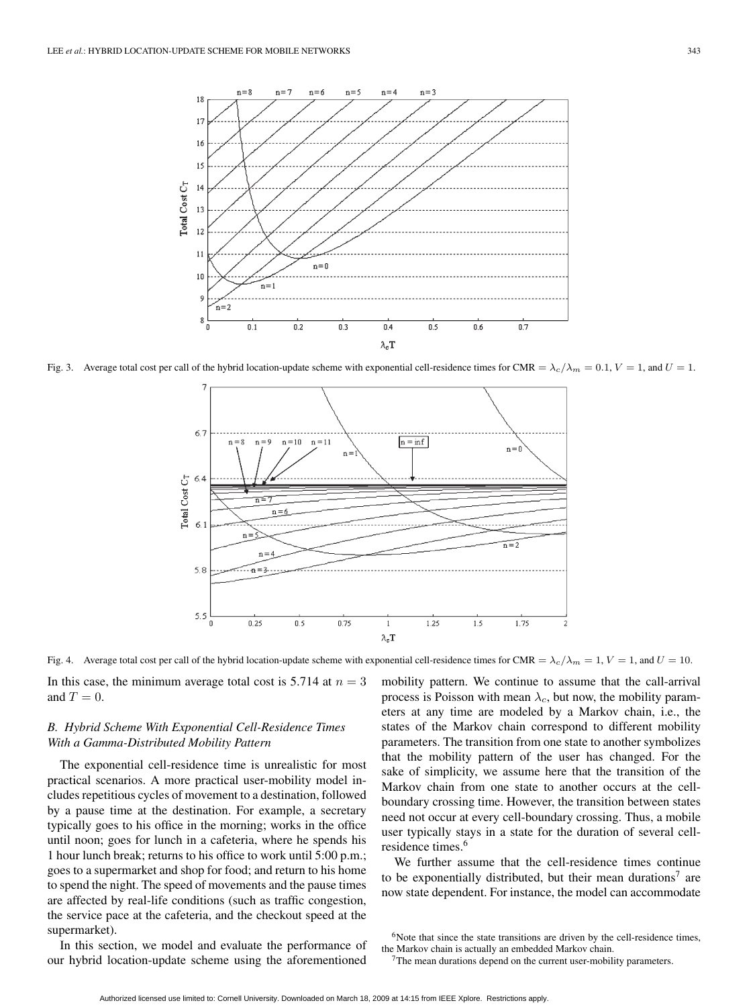

Fig. 3. Average total cost per call of the hybrid location-update scheme with exponential cell-residence times for CMR =  $\lambda_c/\lambda_m = 0.1$ ,  $V = 1$ , and  $U = 1$ .



Fig. 4. Average total cost per call of the hybrid location-update scheme with exponential cell-residence times for CMR =  $\lambda_c/\lambda_m = 1$ ,  $V = 1$ , and  $U = 10$ .

In this case, the minimum average total cost is 5.714 at  $n = 3$ and  $T = 0$ .

# *B. Hybrid Scheme With Exponential Cell-Residence Times With a Gamma-Distributed Mobility Pattern*

The exponential cell-residence time is unrealistic for most practical scenarios. A more practical user-mobility model includes repetitious cycles of movement to a destination, followed by a pause time at the destination. For example, a secretary typically goes to his office in the morning; works in the office until noon; goes for lunch in a cafeteria, where he spends his 1 hour lunch break; returns to his office to work until 5:00 p.m.; goes to a supermarket and shop for food; and return to his home to spend the night. The speed of movements and the pause times are affected by real-life conditions (such as traffic congestion, the service pace at the cafeteria, and the checkout speed at the supermarket).

In this section, we model and evaluate the performance of our hybrid location-update scheme using the aforementioned mobility pattern. We continue to assume that the call-arrival process is Poisson with mean  $\lambda_c$ , but now, the mobility parameters at any time are modeled by a Markov chain, i.e., the states of the Markov chain correspond to different mobility parameters. The transition from one state to another symbolizes that the mobility pattern of the user has changed. For the sake of simplicity, we assume here that the transition of the Markov chain from one state to another occurs at the cellboundary crossing time. However, the transition between states need not occur at every cell-boundary crossing. Thus, a mobile user typically stays in a state for the duration of several cellresidence times.<sup>6</sup>

We further assume that the cell-residence times continue to be exponentially distributed, but their mean durations<sup>7</sup> are now state dependent. For instance, the model can accommodate

 $6$ Note that since the state transitions are driven by the cell-residence times, the Markov chain is actually an embedded Markov chain.

 $7$ The mean durations depend on the current user-mobility parameters.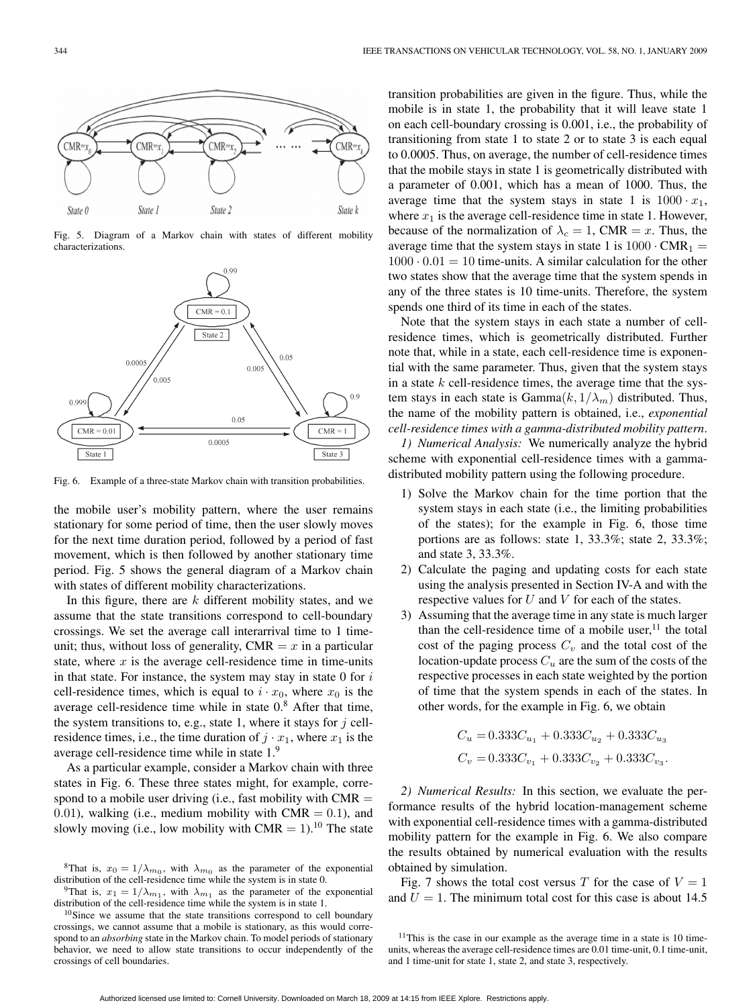

Fig. 5. Diagram of a Markov chain with states of different mobility characterizations.



Fig. 6. Example of a three-state Markov chain with transition probabilities.

the mobile user's mobility pattern, where the user remains stationary for some period of time, then the user slowly moves for the next time duration period, followed by a period of fast movement, which is then followed by another stationary time period. Fig. 5 shows the general diagram of a Markov chain with states of different mobility characterizations.

In this figure, there are  $k$  different mobility states, and we assume that the state transitions correspond to cell-boundary crossings. We set the average call interarrival time to 1 timeunit; thus, without loss of generality,  $CMR = x$  in a particular state, where  $x$  is the average cell-residence time in time-units in that state. For instance, the system may stay in state  $0$  for  $i$ cell-residence times, which is equal to  $i \cdot x_0$ , where  $x_0$  is the average cell-residence time while in state  $0.8$  After that time, the system transitions to, e.g., state 1, where it stays for  $j$  cellresidence times, i.e., the time duration of  $j \cdot x_1$ , where  $x_1$  is the average cell-residence time while in state 1.<sup>9</sup>

As a particular example, consider a Markov chain with three states in Fig. 6. These three states might, for example, correspond to a mobile user driving (i.e., fast mobility with  $CMR =$ 0.01), walking (i.e., medium mobility with  $CMR = 0.1$ ), and slowly moving (i.e., low mobility with CMR =  $1$ ).<sup>10</sup> The state

<sup>9</sup>That is,  $x_1 = 1/\lambda_{m_1}$ , with  $\lambda_{m_1}$  as the parameter of the exponential distribution of the cell-residence time while the system is in state 1.

transition probabilities are given in the figure. Thus, while the mobile is in state 1, the probability that it will leave state 1 on each cell-boundary crossing is 0.001, i.e., the probability of transitioning from state 1 to state 2 or to state 3 is each equal to 0.0005. Thus, on average, the number of cell-residence times that the mobile stays in state 1 is geometrically distributed with a parameter of 0.001, which has a mean of 1000. Thus, the average time that the system stays in state 1 is  $1000 \cdot x_1$ , where  $x_1$  is the average cell-residence time in state 1. However, because of the normalization of  $\lambda_c = 1$ , CMR = x. Thus, the average time that the system stays in state 1 is  $1000 \cdot \text{CMR}_1 =$  $1000 \cdot 0.01 = 10$  time-units. A similar calculation for the other two states show that the average time that the system spends in any of the three states is 10 time-units. Therefore, the system spends one third of its time in each of the states.

Note that the system stays in each state a number of cellresidence times, which is geometrically distributed. Further note that, while in a state, each cell-residence time is exponential with the same parameter. Thus, given that the system stays in a state  $k$  cell-residence times, the average time that the system stays in each state is  $Gamma(k, 1/\lambda_m)$  distributed. Thus, the name of the mobility pattern is obtained, i.e., *exponential cell-residence times with a gamma-distributed mobility pattern*.

*1) Numerical Analysis:* We numerically analyze the hybrid scheme with exponential cell-residence times with a gammadistributed mobility pattern using the following procedure.

- 1) Solve the Markov chain for the time portion that the system stays in each state (i.e., the limiting probabilities of the states); for the example in Fig. 6, those time portions are as follows: state 1, 33.3%; state 2, 33.3%; and state 3, 33.3%.
- 2) Calculate the paging and updating costs for each state using the analysis presented in Section IV-A and with the respective values for  $U$  and  $V$  for each of the states.
- 3) Assuming that the average time in any state is much larger than the cell-residence time of a mobile user, $^{11}$  the total cost of the paging process  $C_v$  and the total cost of the location-update process  $C_u$  are the sum of the costs of the respective processes in each state weighted by the portion of time that the system spends in each of the states. In other words, for the example in Fig. 6, we obtain

$$
\begin{split} C_u = &0.333 C_{u_1} + 0.333 C_{u_2} + 0.333 C_{u_3} \\ C_v = &0.333 C_{v_1} + 0.333 C_{v_2} + 0.333 C_{v_3}. \end{split}
$$

*2) Numerical Results:* In this section, we evaluate the performance results of the hybrid location-management scheme with exponential cell-residence times with a gamma-distributed mobility pattern for the example in Fig. 6. We also compare the results obtained by numerical evaluation with the results obtained by simulation.

Fig. 7 shows the total cost versus T for the case of  $V = 1$ and  $U = 1$ . The minimum total cost for this case is about 14.5

<sup>&</sup>lt;sup>8</sup>That is,  $x_0 = 1/\lambda_{m_0}$ , with  $\lambda_{m_0}$  as the parameter of the exponential distribution of the cell-residence time while the system is in state 0.

<sup>&</sup>lt;sup>10</sup>Since we assume that the state transitions correspond to cell boundary crossings, we cannot assume that a mobile is stationary, as this would correspond to an *absorbing* state in the Markov chain. To model periods of stationary behavior, we need to allow state transitions to occur independently of the crossings of cell boundaries.

 $11$ This is the case in our example as the average time in a state is 10 timeunits, whereas the average cell-residence times are 0.01 time-unit, 0.1 time-unit, and 1 time-unit for state 1, state 2, and state 3, respectively.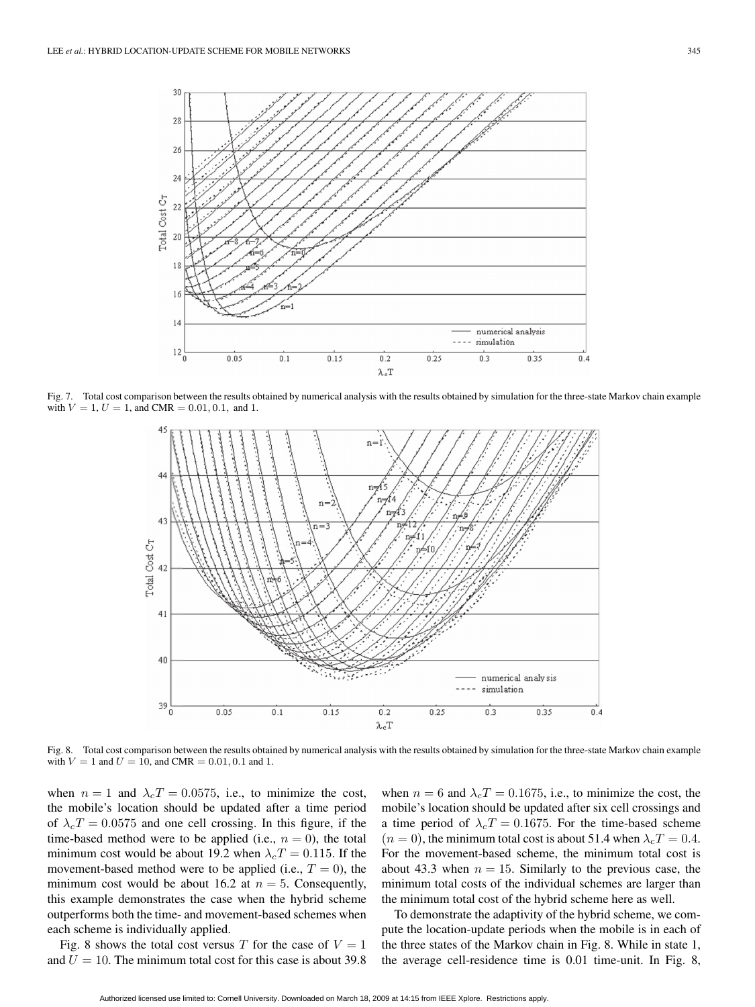

Fig. 7. Total cost comparison between the results obtained by numerical analysis with the results obtained by simulation for the three-state Markov chain example with  $V = 1$ ,  $U = 1$ , and CMR = 0.01, 0.1, and 1.



Fig. 8. Total cost comparison between the results obtained by numerical analysis with the results obtained by simulation for the three-state Markov chain example with  $V = 1$  and  $U = 10$ , and CMR = 0.01, 0.1 and 1.

when  $n = 1$  and  $\lambda_c T = 0.0575$ , i.e., to minimize the cost, the mobile's location should be updated after a time period of  $\lambda_c T = 0.0575$  and one cell crossing. In this figure, if the time-based method were to be applied (i.e.,  $n = 0$ ), the total minimum cost would be about 19.2 when  $\lambda_c T = 0.115$ . If the movement-based method were to be applied (i.e.,  $T = 0$ ), the minimum cost would be about 16.2 at  $n = 5$ . Consequently, this example demonstrates the case when the hybrid scheme outperforms both the time- and movement-based schemes when each scheme is individually applied.

Fig. 8 shows the total cost versus T for the case of  $V = 1$ and  $U = 10$ . The minimum total cost for this case is about 39.8 when  $n = 6$  and  $\lambda_c T = 0.1675$ , i.e., to minimize the cost, the mobile's location should be updated after six cell crossings and a time period of  $\lambda_c T = 0.1675$ . For the time-based scheme  $(n = 0)$ , the minimum total cost is about 51.4 when  $\lambda_c T = 0.4$ . For the movement-based scheme, the minimum total cost is about 43.3 when  $n = 15$ . Similarly to the previous case, the minimum total costs of the individual schemes are larger than the minimum total cost of the hybrid scheme here as well.

To demonstrate the adaptivity of the hybrid scheme, we compute the location-update periods when the mobile is in each of the three states of the Markov chain in Fig. 8. While in state 1, the average cell-residence time is 0.01 time-unit. In Fig. 8,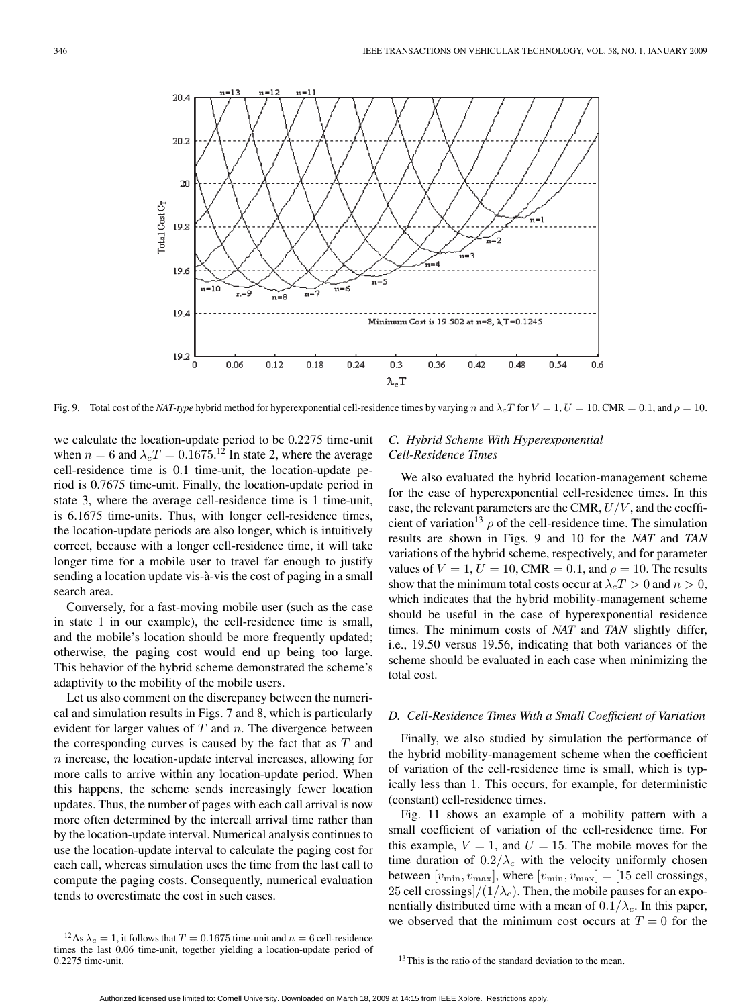

Fig. 9. Total cost of the *NAT-type* hybrid method for hyperexponential cell-residence times by varying n and  $\lambda_c T$  for  $V = 1$ ,  $U = 10$ , CMR = 0.1, and  $\rho = 10$ .

we calculate the location-update period to be 0.2275 time-unit when  $n = 6$  and  $\lambda_c T = 0.1675$ .<sup>12</sup> In state 2, where the average cell-residence time is 0.1 time-unit, the location-update period is 0.7675 time-unit. Finally, the location-update period in state 3, where the average cell-residence time is 1 time-unit, is 6.1675 time-units. Thus, with longer cell-residence times, the location-update periods are also longer, which is intuitively correct, because with a longer cell-residence time, it will take longer time for a mobile user to travel far enough to justify sending a location update vis-à-vis the cost of paging in a small search area.

Conversely, for a fast-moving mobile user (such as the case in state 1 in our example), the cell-residence time is small, and the mobile's location should be more frequently updated; otherwise, the paging cost would end up being too large. This behavior of the hybrid scheme demonstrated the scheme's adaptivity to the mobility of the mobile users.

Let us also comment on the discrepancy between the numerical and simulation results in Figs. 7 and 8, which is particularly evident for larger values of  $T$  and  $n$ . The divergence between the corresponding curves is caused by the fact that as  $T$  and n increase, the location-update interval increases, allowing for more calls to arrive within any location-update period. When this happens, the scheme sends increasingly fewer location updates. Thus, the number of pages with each call arrival is now more often determined by the intercall arrival time rather than by the location-update interval. Numerical analysis continues to use the location-update interval to calculate the paging cost for each call, whereas simulation uses the time from the last call to compute the paging costs. Consequently, numerical evaluation tends to overestimate the cost in such cases.

#### <sup>12</sup>As  $\lambda_c = 1$ , it follows that  $T = 0.1675$  time-unit and  $n = 6$  cell-residence times the last 0.06 time-unit, together yielding a location-update period of 0.2275 time-unit.

# *C. Hybrid Scheme With Hyperexponential Cell-Residence Times*

We also evaluated the hybrid location-management scheme for the case of hyperexponential cell-residence times. In this case, the relevant parameters are the CMR,  $U/V$ , and the coefficient of variation<sup>13</sup>  $\rho$  of the cell-residence time. The simulation results are shown in Figs. 9 and 10 for the *NAT* and *TAN* variations of the hybrid scheme, respectively, and for parameter values of  $V = 1, U = 10$ , CMR = 0.1, and  $\rho = 10$ . The results show that the minimum total costs occur at  $\lambda_c T > 0$  and  $n > 0$ , which indicates that the hybrid mobility-management scheme should be useful in the case of hyperexponential residence times. The minimum costs of *NAT* and *TAN* slightly differ, i.e., 19.50 versus 19.56, indicating that both variances of the scheme should be evaluated in each case when minimizing the total cost.

### *D. Cell-Residence Times With a Small Coefficient of Variation*

Finally, we also studied by simulation the performance of the hybrid mobility-management scheme when the coefficient of variation of the cell-residence time is small, which is typically less than 1. This occurs, for example, for deterministic (constant) cell-residence times.

Fig. 11 shows an example of a mobility pattern with a small coefficient of variation of the cell-residence time. For this example,  $V = 1$ , and  $U = 15$ . The mobile moves for the time duration of  $0.2/\lambda_c$  with the velocity uniformly chosen between  $[v_{\min}, v_{\max}]$ , where  $[v_{\min}, v_{\max}] = [15 \text{ cell crossings},$ 25 cell crossings $/(1/\lambda_c)$ . Then, the mobile pauses for an exponentially distributed time with a mean of  $0.1/\lambda_c$ . In this paper, we observed that the minimum cost occurs at  $T = 0$  for the

 $13$ This is the ratio of the standard deviation to the mean.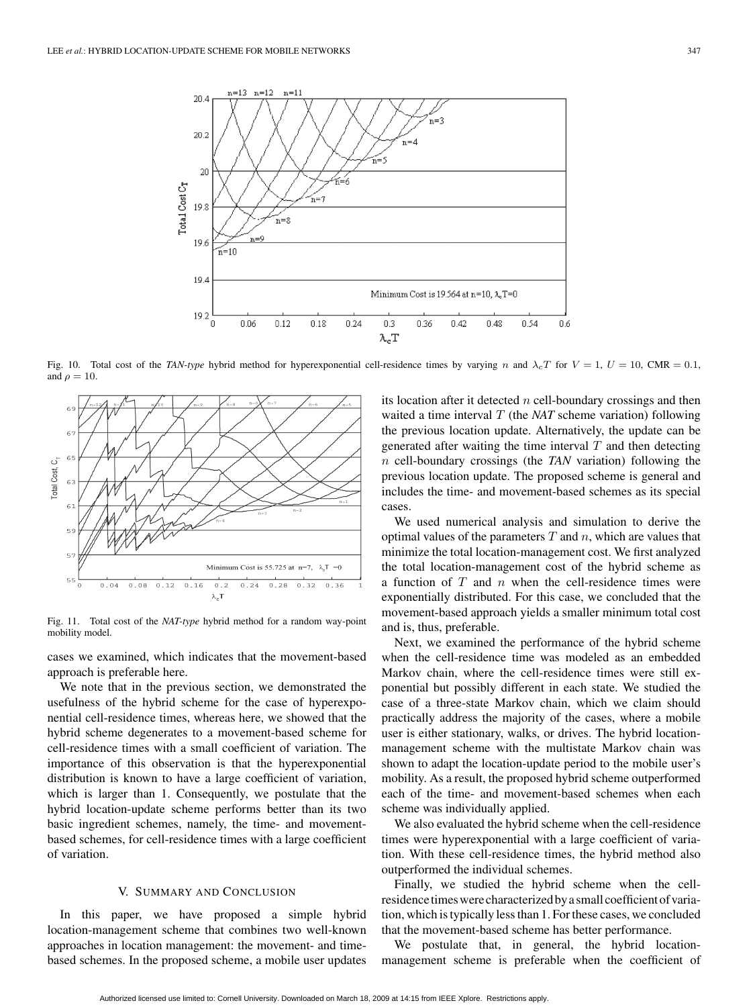

Fig. 10. Total cost of the *TAN-type* hybrid method for hyperexponential cell-residence times by varying n and  $\lambda_c T$  for  $V = 1$ ,  $U = 10$ , CMR = 0.1, and  $\rho = 10$ .



Fig. 11. Total cost of the *NAT-type* hybrid method for a random way-point mobility model.

cases we examined, which indicates that the movement-based approach is preferable here.

We note that in the previous section, we demonstrated the usefulness of the hybrid scheme for the case of hyperexponential cell-residence times, whereas here, we showed that the hybrid scheme degenerates to a movement-based scheme for cell-residence times with a small coefficient of variation. The importance of this observation is that the hyperexponential distribution is known to have a large coefficient of variation, which is larger than 1. Consequently, we postulate that the hybrid location-update scheme performs better than its two basic ingredient schemes, namely, the time- and movementbased schemes, for cell-residence times with a large coefficient of variation.

#### V. SUMMARY AND CONCLUSION

In this paper, we have proposed a simple hybrid location-management scheme that combines two well-known approaches in location management: the movement- and timebased schemes. In the proposed scheme, a mobile user updates its location after it detected  $n$  cell-boundary crossings and then waited a time interval T (the *NAT* scheme variation) following the previous location update. Alternatively, the update can be generated after waiting the time interval  $T$  and then detecting n cell-boundary crossings (the *TAN* variation) following the previous location update. The proposed scheme is general and includes the time- and movement-based schemes as its special cases.

We used numerical analysis and simulation to derive the optimal values of the parameters  $T$  and  $n$ , which are values that minimize the total location-management cost. We first analyzed the total location-management cost of the hybrid scheme as a function of  $T$  and  $n$  when the cell-residence times were exponentially distributed. For this case, we concluded that the movement-based approach yields a smaller minimum total cost and is, thus, preferable.

Next, we examined the performance of the hybrid scheme when the cell-residence time was modeled as an embedded Markov chain, where the cell-residence times were still exponential but possibly different in each state. We studied the case of a three-state Markov chain, which we claim should practically address the majority of the cases, where a mobile user is either stationary, walks, or drives. The hybrid locationmanagement scheme with the multistate Markov chain was shown to adapt the location-update period to the mobile user's mobility. As a result, the proposed hybrid scheme outperformed each of the time- and movement-based schemes when each scheme was individually applied.

We also evaluated the hybrid scheme when the cell-residence times were hyperexponential with a large coefficient of variation. With these cell-residence times, the hybrid method also outperformed the individual schemes.

Finally, we studied the hybrid scheme when the cellresidence times were characterized by a small coefficient of variation, which is typically less than 1. For these cases, we concluded that the movement-based scheme has better performance.

We postulate that, in general, the hybrid locationmanagement scheme is preferable when the coefficient of